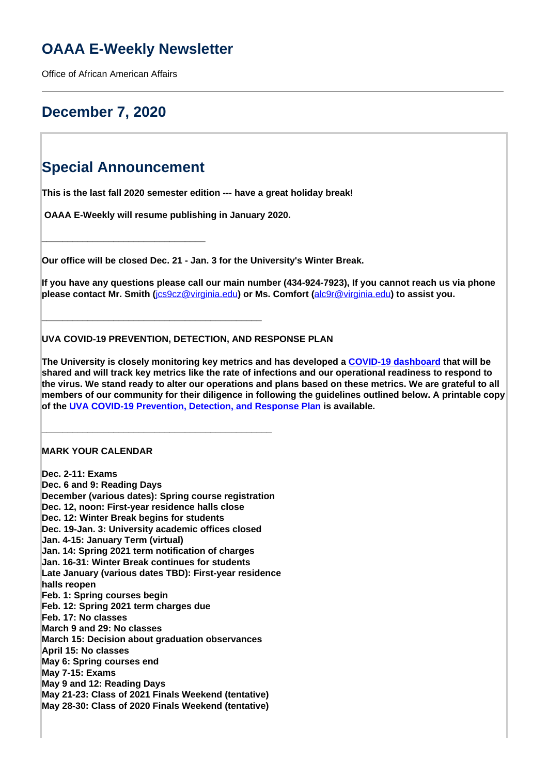# **OAAA E-Weekly Newsletter**

Office of African American Affairs

# **December 7, 2020**

# **Special Announcement**

**\_\_\_\_\_\_\_\_\_\_\_\_\_\_\_\_\_\_\_\_\_\_\_\_\_\_\_\_\_\_\_\_**

**This is the last fall 2020 semester edition --- have a great holiday break!**

 **OAAA E-Weekly will resume publishing in January 2020.**

**\_\_\_\_\_\_\_\_\_\_\_\_\_\_\_\_\_\_\_\_\_\_\_\_\_\_\_\_\_\_\_\_\_\_\_\_\_\_\_\_\_\_\_**

**\_\_\_\_\_\_\_\_\_\_\_\_\_\_\_\_\_\_\_\_\_\_\_\_\_\_\_\_\_\_\_\_\_\_\_\_\_\_\_\_\_\_\_\_\_**

**Our office will be closed Dec. 21 - Jan. 3 for the University's Winter Break.**

**If you have any questions please call our main number (434-924-7923), If you cannot reach us via phone please contact Mr. Smith (**[jcs9cz@virginia.edu](mailto:jcs9cz@virginia.edu?subject=Question%20about%20an%20appointment%20)**) or Ms. Comfort (**alc9r@virginia.edu**) to assist you.**

## **UVA COVID-19 PREVENTION, DETECTION, AND RESPONSE PLAN**

**The University is closely monitoring key metrics and has developed a COVID-19 dashboard that will be shared and will track key metrics like the rate of infections and our operational readiness to respond to the virus. We stand ready to alter our operations and plans based on these metrics. We are grateful to all members of our community for their diligence in following the guidelines outlined below. A printable copy of the UVA COVID-19 Prevention, Detection, and Response Plan is available.** 

### **MARK YOUR CALENDAR**

**Dec. 2-11: Exams Dec. 6 and 9: Reading Days December (various dates): Spring course registration Dec. 12, noon: First-year residence halls close Dec. 12: Winter Break begins for students Dec. 19-Jan. 3: University academic offices closed Jan. 4-15: January Term (virtual) Jan. 14: Spring 2021 term notification of charges Jan. 16-31: Winter Break continues for students Late January (various dates TBD): First-year residence halls reopen Feb. 1: Spring courses begin Feb. 12: Spring 2021 term charges due Feb. 17: No classes March 9 and 29: No classes March 15: Decision about graduation observances April 15: No classes May 6: Spring courses end May 7-15: Exams May 9 and 12: Reading Days May 21-23: Class of 2021 Finals Weekend (tentative) May 28-30: Class of 2020 Finals Weekend (tentative)**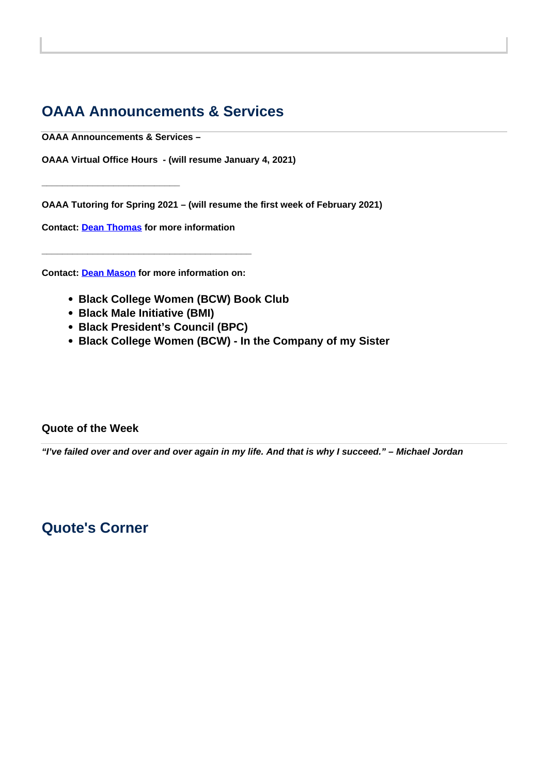# **OAAA Announcements & Services**

**OAAA Announcements & Services –**

**\_\_\_\_\_\_\_\_\_\_\_\_\_\_\_\_\_\_\_\_\_\_\_\_\_\_\_**

**OAAA Virtual Office Hours - (will resume January 4, 2021)**

**OAAA Tutoring for Spring 2021 – (will resume the first week of February 2021)**

**Contact: Dean Thomas for more information**

**Contact: Dean Mason for more information on:** 

**\_\_\_\_\_\_\_\_\_\_\_\_\_\_\_\_\_\_\_\_\_\_\_\_\_\_\_\_\_\_\_\_\_\_\_\_\_\_\_\_\_**

- **Black College Women (BCW) Book Club**
- **Black Male Initiative (BMI)**
- **Black President's Council (BPC)**
- **Black College Women (BCW) In the Company of my Sister**

## **Quote of the Week**

**"I've failed over and over and over again in my life. And that is why I succeed." – Michael Jordan** 

# **Quote's Corner**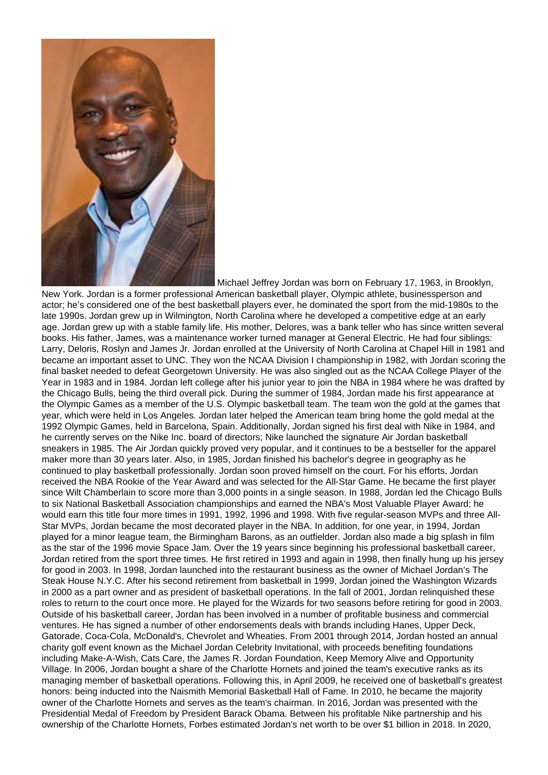

 Michael Jeffrey Jordan was born on February 17, 1963, in Brooklyn, New York. Jordan is a former professional American basketball player, Olympic athlete, businessperson and actor; he's considered one of the best basketball players ever, he dominated the sport from the mid-1980s to the late 1990s. Jordan grew up in Wilmington, North Carolina where he developed a competitive edge at an early age. Jordan grew up with a stable family life. His mother, Delores, was a bank teller who has since written several books. His father, James, was a maintenance worker turned manager at General Electric. He had four siblings: Larry, Deloris, Roslyn and James Jr. Jordan enrolled at the University of North Carolina at Chapel Hill in 1981 and became an important asset to UNC. They won the NCAA Division I championship in 1982, with Jordan scoring the final basket needed to defeat Georgetown University. He was also singled out as the NCAA College Player of the Year in 1983 and in 1984. Jordan left college after his junior year to join the NBA in 1984 where he was drafted by the Chicago Bulls, being the third overall pick. During the summer of 1984, Jordan made his first appearance at the Olympic Games as a member of the U.S. Olympic basketball team. The team won the gold at the games that year, which were held in Los Angeles. Jordan later helped the American team bring home the gold medal at the 1992 Olympic Games, held in Barcelona, Spain. Additionally, Jordan signed his first deal with Nike in 1984, and he currently serves on the Nike Inc. board of directors; Nike launched the signature Air Jordan basketball sneakers in 1985. The Air Jordan quickly proved very popular, and it continues to be a bestseller for the apparel maker more than 30 years later. Also, in 1985, Jordan finished his bachelor's degree in geography as he continued to play basketball professionally. Jordan soon proved himself on the court. For his efforts, Jordan received the NBA Rookie of the Year Award and was selected for the All-Star Game. He became the first player since Wilt Chamberlain to score more than 3,000 points in a single season. In 1988, Jordan led the Chicago Bulls to six National Basketball Association championships and earned the NBA's Most Valuable Player Award; he would earn this title four more times in 1991, 1992, 1996 and 1998. With five regular-season MVPs and three All-Star MVPs, Jordan became the most decorated player in the NBA. In addition, for one year, in 1994, Jordan played for a minor league team, the Birmingham Barons, as an outfielder. Jordan also made a big splash in film as the star of the 1996 movie Space Jam. Over the 19 years since beginning his professional basketball career, Jordan retired from the sport three times. He first retired in 1993 and again in 1998, then finally hung up his jersey for good in 2003. In 1998, Jordan launched into the restaurant business as the owner of Michael Jordan's The Steak House N.Y.C. After his second retirement from basketball in 1999, Jordan joined the Washington Wizards in 2000 as a part owner and as president of basketball operations. In the fall of 2001, Jordan relinquished these roles to return to the court once more. He played for the Wizards for two seasons before retiring for good in 2003. Outside of his basketball career, Jordan has been involved in a number of profitable business and commercial ventures. He has signed a number of other endorsements deals with brands including Hanes, Upper Deck, Gatorade, Coca-Cola, McDonald's, Chevrolet and Wheaties. From 2001 through 2014, Jordan hosted an annual charity golf event known as the Michael Jordan Celebrity Invitational, with proceeds benefiting foundations including Make-A-Wish, Cats Care, the James R. Jordan Foundation, Keep Memory Alive and Opportunity Village. In 2006, Jordan bought a share of the Charlotte Hornets and joined the team's executive ranks as its managing member of basketball operations. Following this, in April 2009, he received one of basketball's greatest honors: being inducted into the Naismith Memorial Basketball Hall of Fame. In 2010, he became the majority owner of the Charlotte Hornets and serves as the team's chairman. In 2016, Jordan was presented with the Presidential Medal of Freedom by President Barack Obama. Between his profitable Nike partnership and his ownership of the Charlotte Hornets, Forbes estimated Jordan's net worth to be over \$1 billion in 2018. In 2020,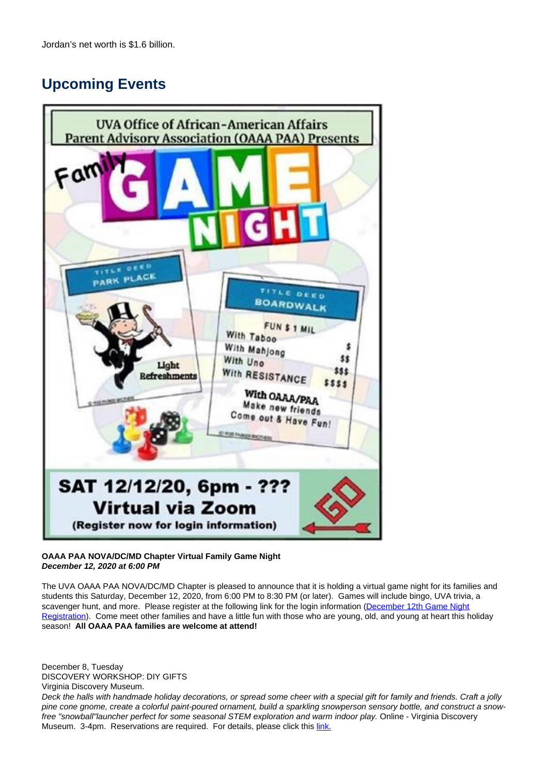# **Upcoming Events**



### **OAAA PAA NOVA/DC/MD Chapter Virtual Family Game Night December 12, 2020 at 6:00 PM**

The UVA OAAA PAA NOVA/DC/MD Chapter is pleased to announce that it is holding a virtual game night for its families and students this Saturday, December 12, 2020, from 6:00 PM to 8:30 PM (or later). Games will include bingo, UVA trivia, a scavenger hunt, and more. Please register at the following link for the login information (December 12th Game Night Registration). Come meet other families and have a little fun with those who are young, old, and young at heart this holiday season! **All OAAA PAA families are welcome at attend!**

December 8, Tuesday DISCOVERY WORKSHOP: DIY GIFTS Virginia Discovery Museum.

Deck the halls with handmade holiday decorations, or spread some cheer with a special gift for family and friends. Craft a jolly pine cone gnome, create a colorful paint-poured ornament, build a sparkling snowperson sensory bottle, and construct a snowfree "snowball"launcher perfect for some seasonal STEM exploration and warm indoor play. Online - Virginia Discovery Museum. 3-4pm. Reservations are required. For details, please click this link.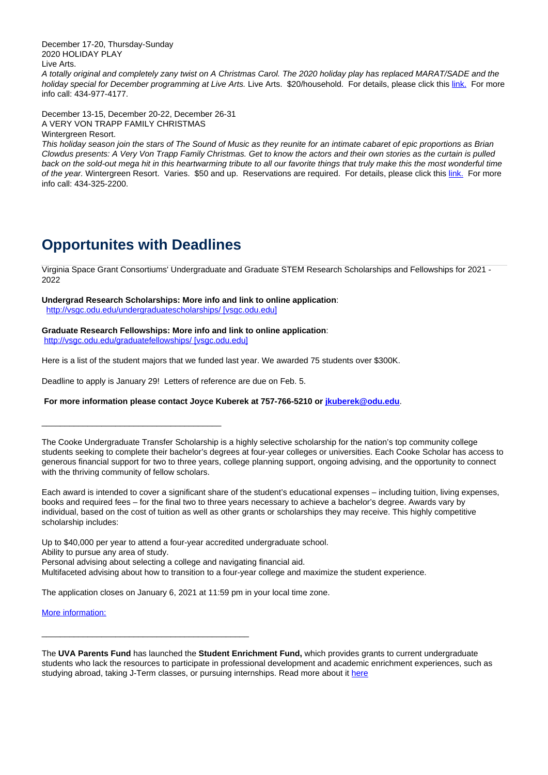December 17-20, Thursday-Sunday 2020 HOLIDAY PLAY Live Arts.

A totally original and completely zany twist on A Christmas Carol. The 2020 holiday play has replaced MARAT/SADE and the holiday special for December programming at Live Arts. Live Arts. \$20/household. For details, please click this link. For more info call: 434-977-4177.

December 13-15, December 20-22, December 26-31 A VERY VON TRAPP FAMILY CHRISTMAS Wintergreen Resort.

This holiday season join the stars of The Sound of Music as they reunite for an intimate cabaret of epic proportions as Brian Clowdus presents: A Very Von Trapp Family Christmas. Get to know the actors and their own stories as the curtain is pulled back on the sold-out mega hit in this heartwarming tribute to all our favorite things that truly make this the most wonderful time of the year. Wintergreen Resort. Varies. \$50 and up. Reservations are required. For details, please click this link. For more info call: 434-325-2200.

# **Opportunites with Deadlines**

Virginia Space Grant Consortiums' Undergraduate and Graduate STEM Research Scholarships and Fellowships for 2021 - 2022

### **Undergrad Research Scholarships: More info and link to online application**:

http://vsgc.odu.edu/undergraduatescholarships/ [vsgc.odu.edu]

### **Graduate Research Fellowships: More info and link to online application**:

http://vsgc.odu.edu/graduatefellowships/ [vsgc.odu.edu]

Here is a list of the student majors that we funded last year. We awarded 75 students over \$300K.

Deadline to apply is January 29! Letters of reference are due on Feb. 5.

### **For more information please contact Joyce Kuberek at 757-766-5210 or jkuberek@odu.edu**.

\_\_\_\_\_\_\_\_\_\_\_\_\_\_\_\_\_\_\_\_\_\_\_\_\_\_\_\_\_\_\_\_\_\_\_\_\_\_\_

The Cooke Undergraduate Transfer Scholarship is a highly selective scholarship for the nation's top community college students seeking to complete their bachelor's degrees at four-year colleges or universities. Each Cooke Scholar has access to generous financial support for two to three years, college planning support, ongoing advising, and the opportunity to connect with the thriving community of fellow scholars.

Each award is intended to cover a significant share of the student's educational expenses – including tuition, living expenses, books and required fees – for the final two to three years necessary to achieve a bachelor's degree. Awards vary by individual, based on the cost of tuition as well as other grants or scholarships they may receive. This highly competitive scholarship includes:

Up to \$40,000 per year to attend a four-year accredited undergraduate school. Ability to pursue any area of study. Personal advising about selecting a college and navigating financial aid.

Multifaceted advising about how to transition to a four-year college and maximize the student experience.

The application closes on January 6, 2021 at 11:59 pm in your local time zone.

\_\_\_\_\_\_\_\_\_\_\_\_\_\_\_\_\_\_\_\_\_\_\_\_\_\_\_\_\_\_\_\_\_\_\_\_\_\_\_\_\_\_\_\_\_

More information:

The **UVA Parents Fund** has launched the **Student Enrichment Fund,** which provides grants to current undergraduate students who lack the resources to participate in professional development and academic enrichment experiences, such as studying abroad, taking J-Term classes, or pursuing internships. Read more about it here